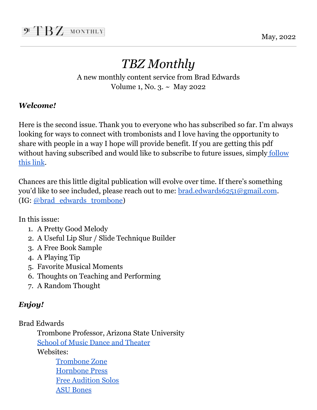May, 2022

## *TBZ Monthly*

A new monthly content service from Brad Edwards Volume 1, No. 3. ~ May 2022

#### *Welcome!*

Here is the second issue. Thank you to everyone who has subscribed so far. I'm always looking for ways to connect with trombonists and I love having the opportunity to share with people in a way I hope will provide benefit. If you are getting this pdf without having subscribed and would like to subscribe to future issues, simply [follow](https://www.trombonezone.org/tbz-monthly/) this [link](https://www.trombonezone.org/tbz-monthly/).

Chances are this little digital publication will evolve over time. If there's something you'd like to see included, please reach out to me: [brad.edwards6251@gmail.com](mailto:brad.edwards6251@gmail.com). (IG: [@brad\\_edwards\\_trombone](https://www.instagram.com/brad_edwards_trombone/))

In this issue:

- 1. A Pretty Good Melody
- 2. A Useful Lip Slur / Slide Technique Builder
- 3. A Free Book Sample
- 4. A Playing Tip
- 5. Favorite Musical Moments
- 6. Thoughts on Teaching and Performing
- 7. A Random Thought

#### *Enjoy!*

Brad Edwards

Trombone Professor, Arizona State University School of Music Dance and [Theater](https://musicdancetheatre.asu.edu)

Websites:

[Trombone](https://www.trombonezone.org) Zone [Hornbone](https://www.hornbonepress.com) Press Free [Audition](https://auditionsolos.com) Solos ASU [Bones](http://asubones.org)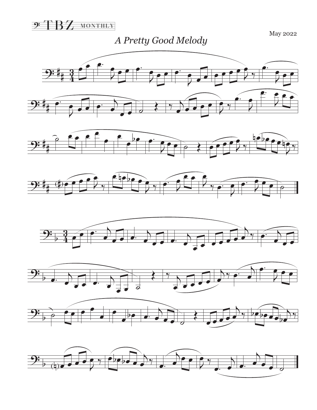

*A Pretty Good Melody* May 2022

 $9:$  $\frac{3}{4}$  $\frac{1}{2}$   $\frac{1}{2}$   $\frac{1}{2}$ J  $\frac{1}{2}$ e e  $\frac{e^x}{2}$ J  $\overline{\mathfrak{p}}$   $\overline{\mathfrak{e}}$   $\overline{\mathfrak{e}}$ J œ  $\overline{\mathcal{L}}$   $\mathcal{L}$   $\mathcal{L}$ œ  $\gamma$ œ. J  $rac{1}{2}$  $9:4.6$ J  $\overrightarrow{e}$  $\left\{ \frac{4}{5} \right\}$  $\overline{e}$   $\overline{e}$  $\frac{1}{\mathcal{L}}$  $\begin{array}{c} \bullet \\ \bullet \\ \bullet \end{array}$ œ œ.  $\overline{2}$  $\overrightarrow{e}$ 











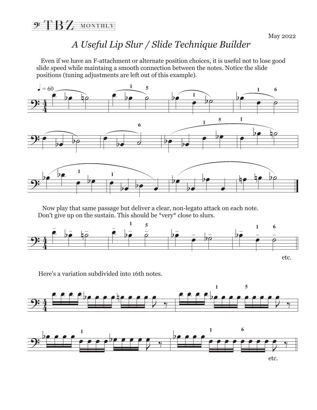#### *A Useful Lip Slur / Slide Technique Builder*

 Even if we have an F-attachment or alternate position choices, it is useful not to lose good slide speed while maintaing a smooth connection between the notes. Notice the slide positions (tuning adjustments are left out of this example).



 Now play that same passage but deliver a clear, non-legato attack on each note. Don't give up on the sustain. This should be \*very\* close to slurs.



Here's a variation subdivided into 16th notes.



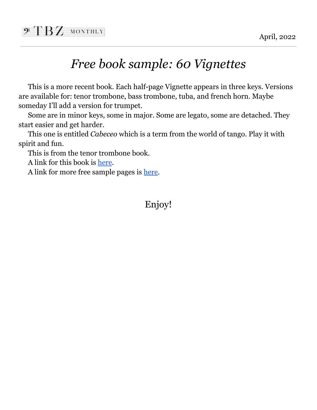## $\mathcal{F}$   $BZ$  monthly

### *Free book sample: 60 Vignettes*

This is a more recent book. Each half-page Vignette appears in three keys. Versions are available for: tenor trombone, bass trombone, tuba, and french horn. Maybe someday I'll add a version for trumpet.

Some are in minor keys, some in major. Some are legato, some are detached. They start easier and get harder.

This one is entitled *Cabeceo* which is a term from the world of tango. Play it with spirit and fun.

This is from the tenor trombone book.

A link for this book is [here](https://www.hornbonepress.com/60v/).

A link for more free sample pages is [here.](https://www.hornbonepress.com/wp-content/uploads/2021/07/VTT-sample.pdf)

Enjoy!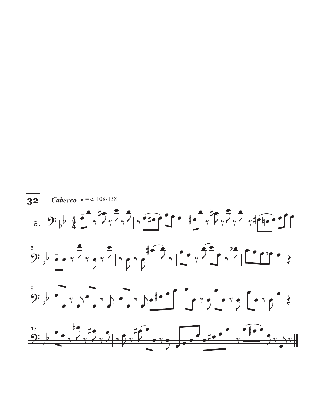





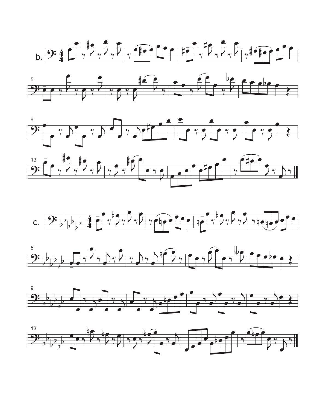













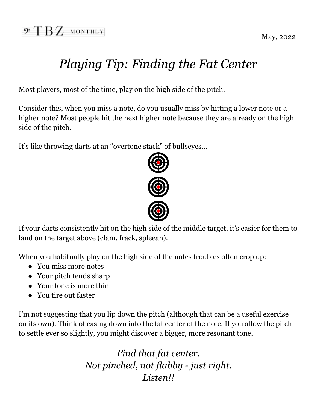# *Playing Tip: Finding the Fat Center*

Most players, most of the time, play on the high side of the pitch.

Consider this, when you miss a note, do you usually miss by hitting a lower note or a higher note? Most people hit the next higher note because they are already on the high side of the pitch.

It's like throwing darts at an "overtone stack" of bullseyes…



If your darts consistently hit on the high side of the middle target, it's easier for them to land on the target above (clam, frack, spleeah).

When you habitually play on the high side of the notes troubles often crop up:

- You miss more notes
- Your pitch tends sharp
- Your tone is more thin
- You tire out faster

I'm not suggesting that you lip down the pitch (although that can be a useful exercise on its own). Think of easing down into the fat center of the note. If you allow the pitch to settle ever so slightly, you might discover a bigger, more resonant tone.

> *Find that fat center. Not pinched, not flabby - just right. Listen!!*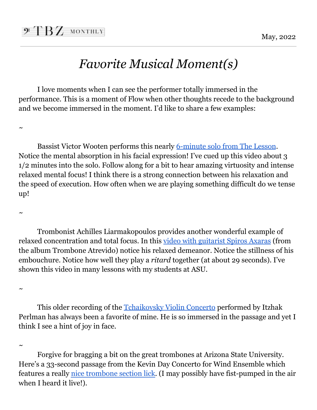### *Favorite Musical Moment(s)*

I love moments when I can see the performer totally immersed in the performance. This is a moment of Flow when other thoughts recede to the background and we become immersed in the moment. I'd like to share a few examples:

 $\sim$ 

Bassist Victor Wooten performs this nearly [6-minute](https://youtu.be/Ve37F3Ee9Ow?t=203) solo from The Lesson. Notice the mental absorption in his facial expression! I've cued up this video about 3 1/2 minutes into the solo. Follow along for a bit to hear amazing virtuosity and intense relaxed mental focus! I think there is a strong connection between his relaxation and the speed of execution. How often when we are playing something difficult do we tense up!

 $\sim$ 

Trombonist Achilles Liarmakopoulos provides another wonderful example of relaxed concentration and total focus. In this video with [guitarist](https://youtu.be/RCJ5zdtkx8A) Spiros Axaras (from the album Trombone Atrevido) notice his relaxed demeanor. Notice the stillness of his embouchure. Notice how well they play a *ritard* together (at about 29 seconds). I've shown this video in many lessons with my students at ASU.

 $\sim$ 

This older recording of the [Tchaikovsky](https://youtu.be/QCKL95HAdQ8?t=371) Violin Concerto performed by Itzhak Perlman has always been a favorite of mine. He is so immersed in the passage and yet I think I see a hint of joy in face.

 $\sim$ 

Forgive for bragging a bit on the great trombones at Arizona State University. Here's a 33-second passage from the Kevin Day Concerto for Wind Ensemble which features a really nice [trombone](https://youtu.be/5BMc7pRGSEQ) section lick. (I may possibly have fist-pumped in the air when I heard it live!).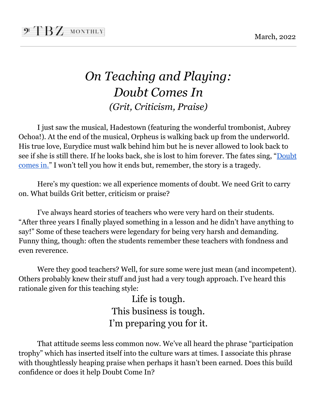### *On Teaching and Playing: Doubt Comes In (Grit, Criticism, Praise)*

I just saw the musical, Hadestown (featuring the wonderful trombonist, Aubrey Ochoa!). At the end of the musical, Orpheus is walking back up from the underworld. His true love, Eurydice must walk behind him but he is never allowed to look back to see if she is still there. If he looks back, she is lost to him forever. The fates sing, "[Doubt](https://youtu.be/iP2I8-Uilzs) [comes](https://youtu.be/iP2I8-Uilzs) in." I won't tell you how it ends but, remember, the story is a tragedy.

Here's my question: we all experience moments of doubt. We need Grit to carry on. What builds Grit better, criticism or praise?

I've always heard stories of teachers who were very hard on their students. "After three years I finally played something in a lesson and he didn't have anything to say!" Some of these teachers were legendary for being very harsh and demanding. Funny thing, though: often the students remember these teachers with fondness and even reverence.

Were they good teachers? Well, for sure some were just mean (and incompetent). Others probably knew their stuff and just had a very tough approach. I've heard this rationale given for this teaching style:

> Life is tough. This business is tough. I'm preparing you for it.

That attitude seems less common now. We've all heard the phrase "participation trophy" which has inserted itself into the culture wars at times. I associate this phrase with thoughtlessly heaping praise when perhaps it hasn't been earned. Does this build confidence or does it help Doubt Come In?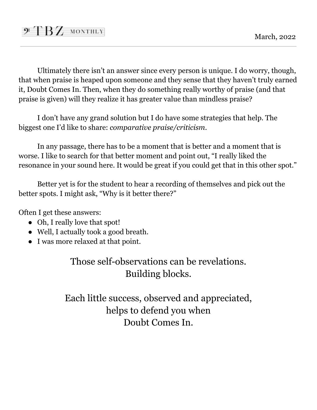Ultimately there isn't an answer since every person is unique. I do worry, though, that when praise is heaped upon someone and they sense that they haven't truly earned it, Doubt Comes In. Then, when they do something really worthy of praise (and that praise is given) will they realize it has greater value than mindless praise?

I don't have any grand solution but I do have some strategies that help. The biggest one I'd like to share: *comparative praise/criticism*.

In any passage, there has to be a moment that is better and a moment that is worse. I like to search for that better moment and point out, "I really liked the resonance in your sound here. It would be great if you could get that in this other spot."

Better yet is for the student to hear a recording of themselves and pick out the better spots. I might ask, "Why is it better there?"

Often I get these answers:

- Oh, I really love that spot!
- Well, I actually took a good breath.
- I was more relaxed at that point.

Those self-observations can be revelations. Building blocks.

Each little success, observed and appreciated, helps to defend you when Doubt Comes In.